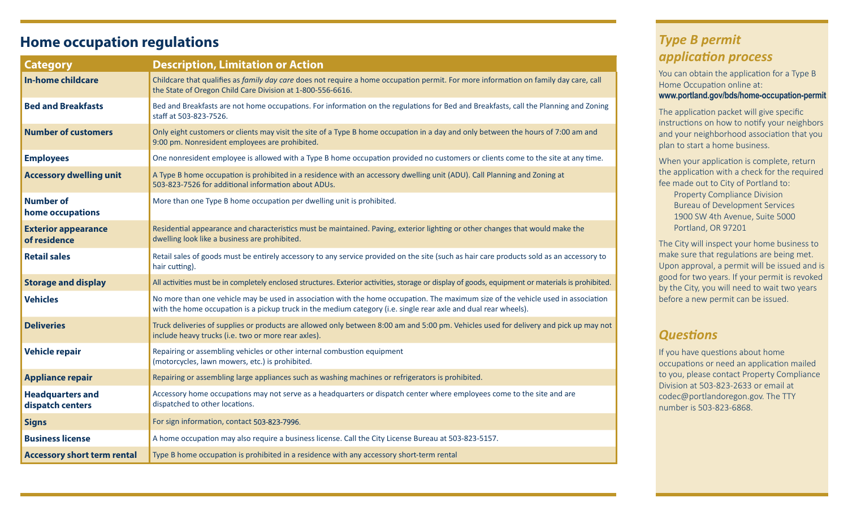## **Home occupation regulations**

| <b>Category</b>                             | <b>Description, Limitation or Action</b>                                                                                                                                                                                                             |
|---------------------------------------------|------------------------------------------------------------------------------------------------------------------------------------------------------------------------------------------------------------------------------------------------------|
| <b>In-home childcare</b>                    | Childcare that qualifies as family day care does not require a home occupation permit. For more information on family day care, call<br>the State of Oregon Child Care Division at 1-800-556-6616.                                                   |
| <b>Bed and Breakfasts</b>                   | Bed and Breakfasts are not home occupations. For information on the regulations for Bed and Breakfasts, call the Planning and Zoning<br>staff at 503-823-7526.                                                                                       |
| <b>Number of customers</b>                  | Only eight customers or clients may visit the site of a Type B home occupation in a day and only between the hours of 7:00 am and<br>9:00 pm. Nonresident employees are prohibited.                                                                  |
| <b>Employees</b>                            | One nonresident employee is allowed with a Type B home occupation provided no customers or clients come to the site at any time.                                                                                                                     |
| <b>Accessory dwelling unit</b>              | A Type B home occupation is prohibited in a residence with an accessory dwelling unit (ADU). Call Planning and Zoning at<br>503-823-7526 for additional information about ADUs.                                                                      |
| <b>Number of</b><br>home occupations        | More than one Type B home occupation per dwelling unit is prohibited.                                                                                                                                                                                |
| <b>Exterior appearance</b><br>of residence  | Residential appearance and characteristics must be maintained. Paving, exterior lighting or other changes that would make the<br>dwelling look like a business are prohibited.                                                                       |
| <b>Retail sales</b>                         | Retail sales of goods must be entirely accessory to any service provided on the site (such as hair care products sold as an accessory to<br>hair cutting).                                                                                           |
| <b>Storage and display</b>                  | All activities must be in completely enclosed structures. Exterior activities, storage or display of goods, equipment or materials is prohibited.                                                                                                    |
| <b>Vehicles</b>                             | No more than one vehicle may be used in association with the home occupation. The maximum size of the vehicle used in association<br>with the home occupation is a pickup truck in the medium category (i.e. single rear axle and dual rear wheels). |
| <b>Deliveries</b>                           | Truck deliveries of supplies or products are allowed only between 8:00 am and 5:00 pm. Vehicles used for delivery and pick up may not<br>include heavy trucks (i.e. two or more rear axles).                                                         |
| <b>Vehicle repair</b>                       | Repairing or assembling vehicles or other internal combustion equipment<br>(motorcycles, lawn mowers, etc.) is prohibited.                                                                                                                           |
| <b>Appliance repair</b>                     | Repairing or assembling large appliances such as washing machines or refrigerators is prohibited.                                                                                                                                                    |
| <b>Headquarters and</b><br>dispatch centers | Accessory home occupations may not serve as a headquarters or dispatch center where employees come to the site and are<br>dispatched to other locations.                                                                                             |
| <b>Signs</b>                                | For sign information, contact 503-823-7996.                                                                                                                                                                                                          |
| <b>Business license</b>                     | A home occupation may also require a business license. Call the City License Bureau at 503-823-5157.                                                                                                                                                 |
| <b>Accessory short term rental</b>          | Type B home occupation is prohibited in a residence with any accessory short-term rental                                                                                                                                                             |

## *Type B permit application process*

You can obtain the application for a Type B Home Occupation online at:

#### **www.portland.gov/bds/home-occupation-permit**

The application packet will give specific instructions on how to notify your neighbors and your neighborhood association that you plan to start a home business.

When your application is complete, return the application with a check for the required fee made out to City of Portland to:

Property Compliance Division Bureau of Development Services 1900 SW 4th Avenue, Suite 5000 Portland, OR 97201

The City will inspect your home business to make sure that regulations are being met. Upon approval, a permit will be issued and is good for two years. If your permit is revoked by the City, you will need to wait two years before a new permit can be issued.

### *Questions*

If you have questions about home occupations or need an application mailed to you, please contact Property Compliance Division at 503-823-2633 or email at codec@portlandoregon.gov. The TTY number is 503-823-6868.